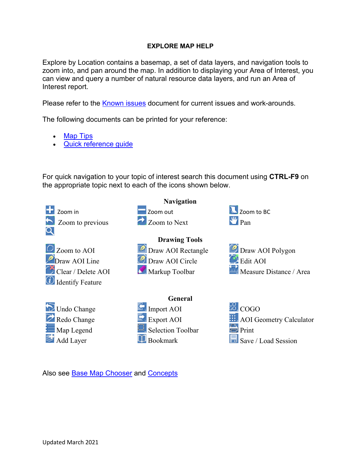#### **EXPLORE MAP HELP**

Explore by Location contains a basemap, a set of data layers, and navigation tools to zoom into, and pan around the map. In addition to displaying your Area of Interest, you can view and query a number of natural resource data layers, and run an Area of Interest report.

Please refer to the **Known issues** document for current issues and work-arounds.

The following documents can be printed for your reference:

- **[Map Tips](http://www.frontcounterbc.gov.bc.ca/pdf/ExploreMapTips.docx)**
- [Quick reference guide](https://portal.nrs.gov.bc.ca/documents/10184/0/Explore+By+Location+Quick+Reference/f6a5d150-7328-3764-8559-2196e019a30d)

For quick navigation to your topic of interest search this document using **CTRL-F9** on the appropriate topic next to each of the icons shown below.



Also see [Base Map Chooser](#page-15-0) and [Concepts](#page-15-1)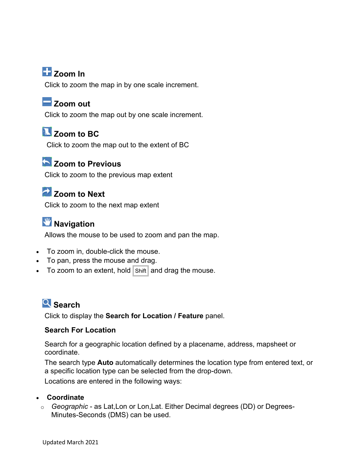# **Zoom In**

Click to zoom the map in by one scale increment.

## **Zoom out**

Click to zoom the map out by one scale increment.

# **Z** Zoom to BC

Click to zoom the map out to the extent of BC

## **Zoom to Previous**

Click to zoom to the previous map extent

# **Zoom to Next**

Click to zoom to the next map extent

# **W** Navigation

Allows the mouse to be used to zoom and pan the map.

- To zoom in, double-click the mouse.
- To pan, press the mouse and drag.
- To zoom to an extent, hold  $|\text{Shift}|$  and drag the mouse.

## **Search**

Click to display the **Search for Location / Feature** panel.

### **Search For Location**

Search for a geographic location defined by a placename, address, mapsheet or coordinate.

The search type **Auto** automatically determines the location type from entered text, or a specific location type can be selected from the drop-down.

Locations are entered in the following ways:

#### • **Coordinate**

o *Geographic* - as Lat,Lon or Lon,Lat. Either Decimal degrees (DD) or Degrees-Minutes-Seconds (DMS) can be used.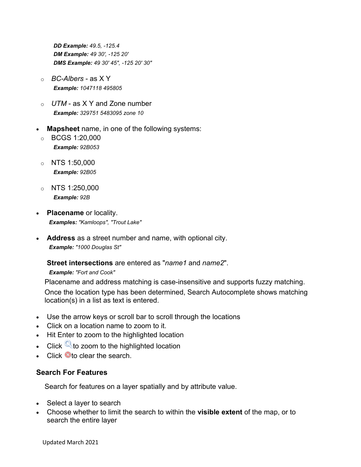*DD Example: 49.5, -125.4 DM Example: 49 30', -125 20' DMS Example: 49 30' 45", -125 20' 30"*

- o *BC-Albers* as X Y *Example: 1047118 495805*
- o *UTM* as X Y and Zone number *Example: 329751 5483095 zone 10*
- **Mapsheet** name, in one of the following systems:
	- o BCGS 1:20,000 *Example: 92B053*
	- $\circ$  NTS 1:50,000 *Example: 92B05*
	- $\circ$  NTS 1:250,000 *Example: 92B*
- **Placename** or locality. *Examples: "Kamloops", "Trout Lake"*
- **Address** as a street number and name, with optional city. *Example: "1000 Douglas St"*

**Street intersections** are entered as "*name1* and *name2*".

*Example: "Fort and Cook"*

Placename and address matching is case-insensitive and supports fuzzy matching.

Once the location type has been determined, Search Autocomplete shows matching location(s) in a list as text is entered.

- Use the arrow keys or scroll bar to scroll through the locations
- Click on a location name to zoom to it.
- Hit Enter to zoom to the highlighted location
- Click  $\mathbb{Q}$  to zoom to the highlighted location
- Click **O**to clear the search.

### **Search For Features**

Search for features on a layer spatially and by attribute value.

- Select a layer to search
- Choose whether to limit the search to within the **visible extent** of the map, or to search the entire layer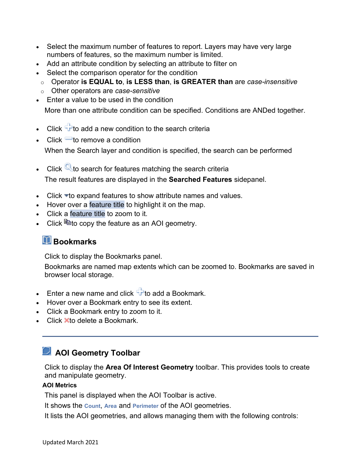- Select the maximum number of features to report. Layers may have very large numbers of features, so the maximum number is limited.
- Add an attribute condition by selecting an attribute to filter on
- Select the comparison operator for the condition
- o Operator **is EQUAL to**, **is LESS than**, **is GREATER than** are *case-insensitive*
- o Other operators are *case-sensitive*
- Finter a value to be used in the condition

More than one attribute condition can be specified. Conditions are ANDed together.

- Click  $\overline{\mathbf{r}}$  to add a new condition to the search criteria
- Click  $\blacksquare$  to remove a condition

When the Search layer and condition is specified, the search can be performed

- Click  $\mathbb{Q}$  to search for features matching the search criteria The result features are displayed in the **Searched Features** sidepanel.
- Click  $\blacktriangleright$  to expand features to show attribute names and values.
- Hover over a feature title to highlight it on the map.
- Click a feature title to zoom to it.
- Click  $\mathbb{B}$  to copy the feature as an AOI geometry.

## **Bookmarks**

Click to display the Bookmarks panel.

Bookmarks are named map extents which can be zoomed to. Bookmarks are saved in browser local storage.

- Enter a new name and click  $\frac{d\mathbf{r}}{d\mathbf{r}}$  to add a Bookmark.
- Hover over a Bookmark entry to see its extent.
- Click a Bookmark entry to zoom to it.
- Click  $\blacktriangleright$  to delete a Bookmark.

# **AOI Geometry Toolbar**

Click to display the **Area Of Interest Geometry** toolbar. This provides tools to create and manipulate geometry.

#### **AOI Metrics**

This panel is displayed when the AOI Toolbar is active.

It shows the **Count**, **Area** and **Perimeter** of the AOI geometries.

It lists the AOI geometries, and allows managing them with the following controls: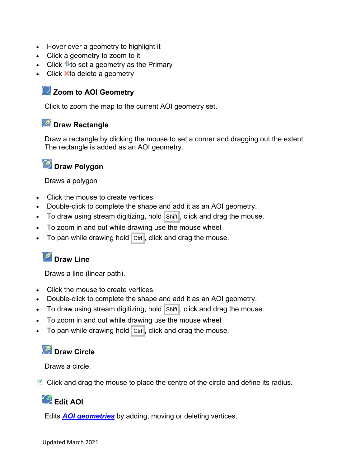- Hover over a geometry to highlight it
- Click a geometry to zoom to it
- Click  $\mathbf{1}$  to set a geometry as the Primary
- Click  $\blacktriangleright$  to delete a geometry

### **Zoom to AOI Geometry**

Click to zoom the map to the current AOI geometry set.

### **Draw Rectangle**

Draw a rectangle by clicking the mouse to set a corner and dragging out the extent. The rectangle is added as an AOI geometry.

## **Draw Polygon**

Draws a polygon

- Click the mouse to create vertices.
- Double-click to complete the shape and add it as an AOI geometry.
- To draw using stream digitizing, hold  $|\text{Shift}|$ , click and drag the mouse.
- To zoom in and out while drawing use the mouse wheel
- To pan while drawing hold  $|$  Ctrl, click and drag the mouse.

# **Draw Line**

Draws a line (linear path).

- Click the mouse to create vertices.
- Double-click to complete the shape and add it as an AOI geometry.
- To draw using stream digitizing, hold  $|\text{Shift}|$ , click and drag the mouse.
- To zoom in and out while drawing use the mouse wheel
- To pan while drawing hold  $\boxed{\text{Ctrl}}$ , click and drag the mouse.

## *C* Draw Circle

Draws a circle.

Click and drag the mouse to place the centre of the circle and define its radius.

## **Edit AOI**

Edits *[AOI geometries](https://t1portal.nrs.gov.bc.ca/cwmc-lib/v1.8.1/assets/help.html#def_aoi)* by adding, moving or deleting vertices.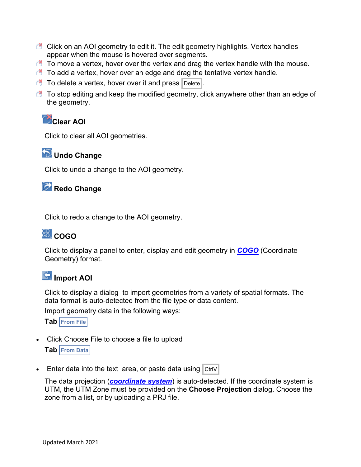- C Click on an AOI geometry to edit it. The edit geometry highlights. Vertex handles appear when the mouse is hovered over segments.
- $\bullet$  To move a vertex, hover over the vertex and drag the vertex handle with the mouse.
- $\bullet$  To add a vertex, hover over an edge and drag the tentative vertex handle.
- $\Box$  To delete a vertex, hover over it and press  $\vert$  Delete .
- $\bullet$  To stop editing and keep the modified geometry, click anywhere other than an edge of the geometry.

# **Clear AOI**

Click to clear all AOI geometries.

## **Undo Change**

Click to undo a change to the AOI geometry.

## **Redo Change**

Click to redo a change to the AOI geometry.

# <u>ေ</u> ငဂဌဂ

Click to display a panel to enter, display and edit geometry in *[COGO](https://t1portal.nrs.gov.bc.ca/cwmc-lib/v1.8.1/assets/help.html#def_cogo)* (Coordinate Geometry) format.

# **Import AOI**

Click to display a dialog to import geometries from a variety of spatial formats. The data format is auto-detected from the file type or data content.

Import geometry data in the following ways:

**Tab From File**

- Click Choose File to choose a file to upload **Tab From Data**
- Enter data into the text area, or paste data using  $|$  CtrlV

The data projection (*[coordinate system](https://t1portal.nrs.gov.bc.ca/cwmc-lib/v1.8.1/assets/help.html#def_coordsys)*) is auto-detected. If the coordinate system is UTM, the UTM Zone must be provided on the **Choose Projection** dialog. Choose the zone from a list, or by uploading a PRJ file.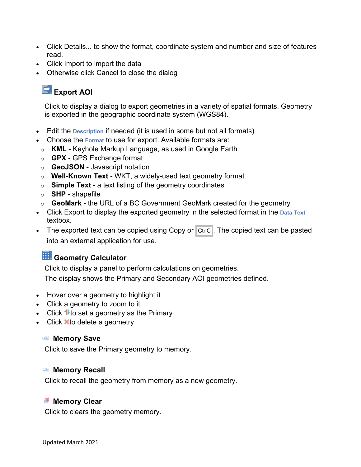- Click Details... to show the format, coordinate system and number and size of features read.
- Click Import to import the data
- Otherwise click Cancel to close the dialog

# **Export AOI**

Click to display a dialog to export geometries in a variety of spatial formats. Geometry is exported in the geographic coordinate system (WGS84).

- Edit the **Description** if needed (it is used in some but not all formats)
- Choose the **Format** to use for export. Available formats are:
- o **KML** Keyhole Markup Language, as used in Google Earth
- o **GPX** GPS Exchange format
- o **GeoJSON** Javascript notation
- o **Well-Known Text** WKT, a widely-used text geometry format
- o **Simple Text** a text listing of the geometry coordinates
- o **SHP**  shapefile
- o **GeoMark** the URL of a BC Government GeoMark created for the geometry
- Click Export to display the exported geometry in the selected format in the **Data Text** textbox.
- The exported text can be copied using Copy or  $|$  CtrlC  $|$ . The copied text can be pasted into an external application for use.

# **H** Geometry Calculator

Click to display a panel to perform calculations on geometries.

The display shows the Primary and Secondary AOI geometries defined.

- Hover over a geometry to highlight it
- Click a geometry to zoom to it
- Click  $\mathbf{\textup{1}}$  to set a geometry as the Primary
- Click  $\blacktriangleright$  to delete a geometry

#### **Memory Save**

Click to save the Primary geometry to memory.

#### **Memory Recall**

Click to recall the geometry from memory as a new geometry.

### **M** Memory Clear

Click to clears the geometry memory.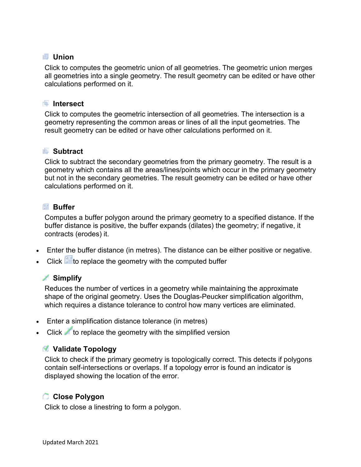### **Union**

Click to computes the geometric union of all geometries. The geometric union merges all geometries into a single geometry. The result geometry can be edited or have other calculations performed on it.

#### **Intersect**

Click to computes the geometric intersection of all geometries. The intersection is a geometry representing the common areas or lines of all the input geometries. The result geometry can be edited or have other calculations performed on it.

### **Subtract**

Click to subtract the secondary geometries from the primary geometry. The result is a geometry which contains all the areas/lines/points which occur in the primary geometry but not in the secondary geometries. The result geometry can be edited or have other calculations performed on it.

### **Buffer**

Computes a buffer polygon around the primary geometry to a specified distance. If the buffer distance is positive, the buffer expands (dilates) the geometry; if negative, it contracts (erodes) it.

- Enter the buffer distance (in metres). The distance can be either positive or negative.
- $\bullet$  Click  $\blacksquare$  to replace the geometry with the computed buffer

### **Simplify**

Reduces the number of vertices in a geometry while maintaining the approximate shape of the original geometry. Uses the Douglas-Peucker simplification algorithm, which requires a distance tolerance to control how many vertices are eliminated.

- Enter a simplification distance tolerance (in metres)
- Click to replace the geometry with the simplified version

### **Validate Topology**

Click to check if the primary geometry is topologically correct. This detects if polygons contain self-intersections or overlaps. If a topology error is found an indicator is displayed showing the location of the error.

### **Close Polygon**

Click to close a linestring to form a polygon.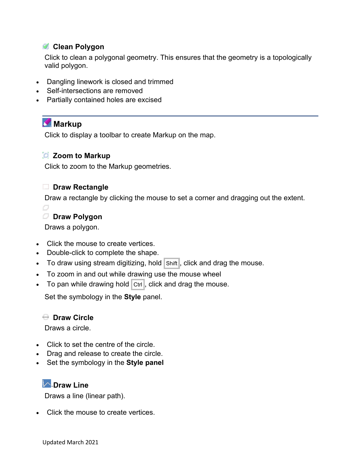### **Clean Polygon**

Click to clean a polygonal geometry. This ensures that the geometry is a topologically valid polygon.

- Dangling linework is closed and trimmed
- Self-intersections are removed
- Partially contained holes are excised

## **Markup**

Click to display a toolbar to create Markup on the map.

### **Zoom to Markup**

Click to zoom to the Markup geometries.

### **Draw Rectangle**

Draw a rectangle by clicking the mouse to set a corner and dragging out the extent.



### **Draw Polygon**

Draws a polygon.

- Click the mouse to create vertices.
- Double-click to complete the shape.
- To draw using stream digitizing, hold Shift, click and drag the mouse.
- To zoom in and out while drawing use the mouse wheel
- To pan while drawing hold  $|$  Ctrl, click and drag the mouse.

Set the symbology in the **Style** panel.

### **Draw Circle**

Draws a circle.

- Click to set the centre of the circle.
- Drag and release to create the circle.
- Set the symbology in the **Style panel**

### **Draw Line**

Draws a line (linear path).

• Click the mouse to create vertices.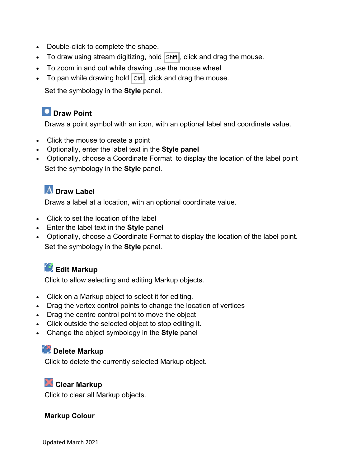- Double-click to complete the shape.
- To draw using stream digitizing, hold Shift, click and drag the mouse.
- To zoom in and out while drawing use the mouse wheel
- To pan while drawing hold  $\boxed{\text{Ctrl}}$ , click and drag the mouse.

Set the symbology in the **Style** panel.

## **D** Draw Point

Draws a point symbol with an icon, with an optional label and coordinate value.

- Click the mouse to create a point
- Optionally, enter the label text in the **Style panel**
- Optionally, choose a Coordinate Format to display the location of the label point Set the symbology in the **Style** panel.

## **A** Draw Label

Draws a label at a location, with an optional coordinate value.

- Click to set the location of the label
- Enter the label text in the **Style** panel
- Optionally, choose a Coordinate Format to display the location of the label point. Set the symbology in the **Style** panel.

# **Edit Markup**

Click to allow selecting and editing Markup objects.

- Click on a Markup object to select it for editing.
- Drag the vertex control points to change the location of vertices
- Drag the centre control point to move the object
- Click outside the selected object to stop editing it.
- Change the object symbology in the **Style** panel

### **Delete Markup**

Click to delete the currently selected Markup object.

## **Clear Markup**

Click to clear all Markup objects.

### **Markup Colour**

Updated March 2021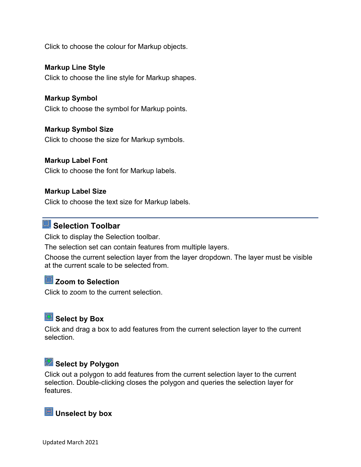Click to choose the colour for Markup objects.

#### **Markup Line Style**

Click to choose the line style for Markup shapes.

#### **Markup Symbol**

Click to choose the symbol for Markup points.

#### **Markup Symbol Size**

Click to choose the size for Markup symbols.

#### **Markup Label Font**

Click to choose the font for Markup labels.

#### **Markup Label Size**

Click to choose the text size for Markup labels.

# **Selection Toolbar**

Click to display the Selection toolbar.

The selection set can contain features from multiple layers.

Choose the current selection layer from the layer dropdown. The layer must be visible at the current scale to be selected from.

# **Zoom to Selection**

Click to zoom to the current selection.

## **Select by Box**

Click and drag a box to add features from the current selection layer to the current selection.

# **Select by Polygon**

Click out a polygon to add features from the current selection layer to the current selection. Double-clicking closes the polygon and queries the selection layer for features.

## **ED** Unselect by box

Updated March 2021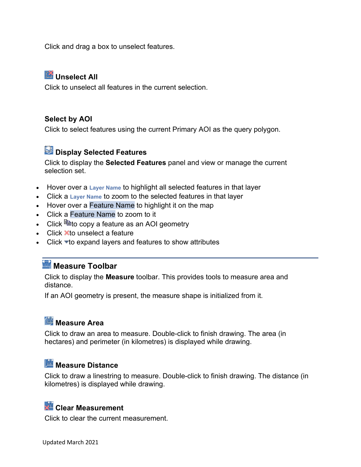Click and drag a box to unselect features.

## **Unselect All**

Click to unselect all features in the current selection.

### **Select by AOI**

Click to select features using the current Primary AOI as the query polygon.

# **Display Selected Features**

Click to display the **Selected Features** panel and view or manage the current selection set.

- Hover over a **Layer Name** to highlight all selected features in that layer
- Click a **Layer Name** to zoom to the selected features in that layer
- Hover over a Feature Name to highlight it on the map
- Click a Feature Name to zoom to it
- Click  $\mathbb{B}$ to copy a feature as an AOI geometry
- Click  $\blacktriangleright$  to unselect a feature
- Click  $\blacktriangledown$  to expand layers and features to show attributes

# **Measure Toolbar**

Click to display the **Measure** toolbar. This provides tools to measure area and distance.

If an AOI geometry is present, the measure shape is initialized from it.

# **Measure Area**

Click to draw an area to measure. Double-click to finish drawing. The area (in hectares) and perimeter (in kilometres) is displayed while drawing.

## **Measure Distance**

Click to draw a linestring to measure. Double-click to finish drawing. The distance (in kilometres) is displayed while drawing.

## **Clear Measurement**

Click to clear the current measurement.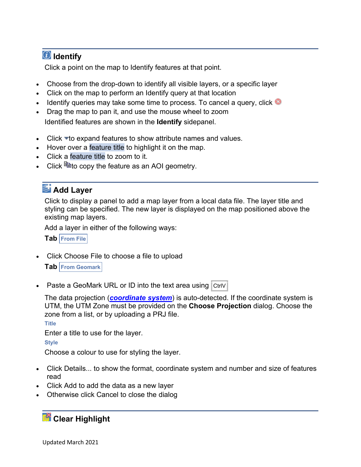# **Identify**

Click a point on the map to Identify features at that point.

- Choose from the drop-down to identify all visible layers, or a specific layer
- Click on the map to perform an Identify query at that location
- Identify queries may take some time to process. To cancel a query, click
- Drag the map to pan it, and use the mouse wheel to zoom Identified features are shown in the **Identify** sidepanel.
- Click  $\blacktriangledown$  to expand features to show attribute names and values.
- Hover over a feature title to highlight it on the map.
- Click a feature title to zoom to it.
- Click  $\mathbb{\ddot{E}}$  Click  $\mathbb{\ddot{E}}$  copy the feature as an AOI geometry.

# **Add Layer**

Click to display a panel to add a map layer from a local data file. The layer title and styling can be specified. The new layer is displayed on the map positioned above the existing map layers.

Add a layer in either of the following ways:

**Tab From File**

• Click Choose File to choose a file to upload

**Tab From Geomark**

Paste a GeoMark URL or ID into the text area using  $|$  CtrlV

The data projection (*[coordinate system](https://t1portal.nrs.gov.bc.ca/cwmc-lib/v1.8.1/assets/help.html#def_coordsys)*) is auto-detected. If the coordinate system is UTM, the UTM Zone must be provided on the **Choose Projection** dialog. Choose the zone from a list, or by uploading a PRJ file.

**Title**

Enter a title to use for the layer.

**Style**

Choose a colour to use for styling the layer.

- Click Details... to show the format, coordinate system and number and size of features read
- Click Add to add the data as a new layer
- Otherwise click Cancel to close the dialog

## **Clear Highlight**

Updated March 2021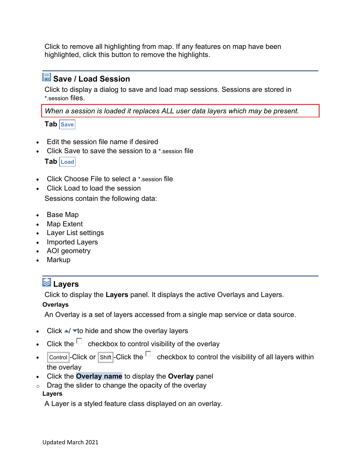Click to remove all highlighting from map. If any features on map have been highlighted, click this button to remove the highlights.

# **Save / Load Session**

Click to display a dialog to save and load map sessions. Sessions are stored in \*.session files.

*When a session is loaded it replaces ALL user data layers which may be present.* 

**Tab** Save

- Edit the session file name if desired
- Click Save to save the session to a \*.session file **Tab Load**
- Click Choose File to select a \*.session file
- Click Load to load the session Sessions contain the following data:
- Base Map
- Map Extent
- Layer List settings
- Imported Layers
- AOI geometry
- Markup

# **Layers**

Click to display the **Layers** panel. It displays the active Overlays and Layers.

### **Overlays**

An Overlay is a set of layers accessed from a single map service or data source.

- Click  $\blacktriangle$   $\blacktriangleright$  to hide and show the overlay layers
- Click the  $\Box$  checkbox to control visibility of the overlay
- $\sqrt{\frac{\text{Control}}{\text{C}}}\cdot$ Click or  $\sqrt{\text{Shift}}\cdot$  Click the  $\Box$  checkbox to control the visibility of all layers within the overlay
- Click the **Overlay name** to display the **Overlay** panel
- $\circ$  Drag the slider to change the opacity of the overlay **Layers**

A Layer is a styled feature class displayed on an overlay.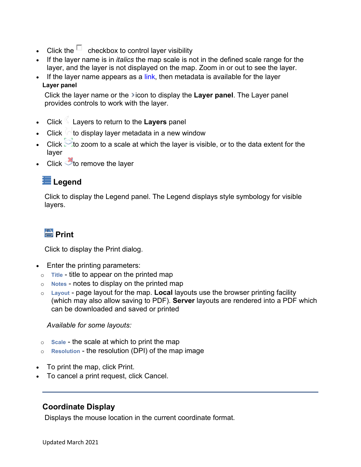- Click the  $\Box$  checkbox to control layer visibility
- If the layer name is in *italics* the map scale is not in the defined scale range for the layer, and the layer is not displayed on the map. Zoom in or out to see the layer.
- If the layer name appears as a  $link$ , then metadata is available for the layer **Layer panel**

Click the layer name or the **i**con to display the **Layer panel**. The Layer panel provides controls to work with the layer.

- Click Layers to return to the **Layers** panel
- Click  $\left(\sqrt{16}\right)$  clisplay layer metadata in a new window
- Click  $\sim$  to zoom to a scale at which the layer is visible, or to the data extent for the layer
- Click  $\triangle$  to remove the layer

## **Legend**

Click to display the Legend panel. The Legend displays style symbology for visible layers.

# **Print**

Click to display the Print dialog.

- Enter the printing parameters:
	- o **Title** title to appear on the printed map
	- o **Notes** notes to display on the printed map
	- o **Layout** page layout for the map. **Local** layouts use the browser printing facility (which may also allow saving to PDF). **Server** layouts are rendered into a PDF which can be downloaded and saved or printed

### *Available for some layouts:*

- o **Scale** the scale at which to print the map
- o **Resolution** the resolution (DPI) of the map image
- To print the map, click Print.
- To cancel a print request, click Cancel.

### **Coordinate Display**

Displays the mouse location in the current coordinate format.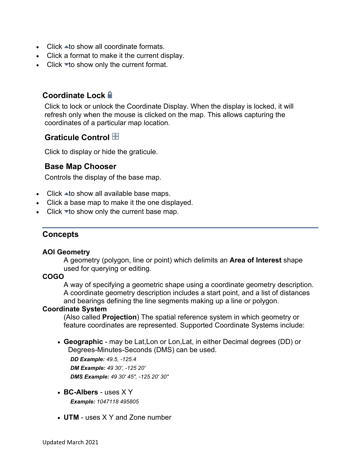- Click  $\triangle$  to show all coordinate formats.
- Click a format to make it the current display.
- Click  $\blacktriangledown$  to show only the current format.

### **Coordinate Lock**

Click to lock or unlock the Coordinate Display. When the display is locked, it will refresh only when the mouse is clicked on the map. This allows capturing the coordinates of a particular map location.

### **Graticule Control**

Click to display or hide the graticule.

### <span id="page-15-0"></span>**Base Map Chooser**

Controls the display of the base map.

- $\bullet$  Click  $\blacktriangle$  to show all available base maps.
- Click a base map to make it the one displayed.
- Click  $\blacktriangleright$  to show only the current base map.

### <span id="page-15-1"></span>**Concepts**

#### **AOI Geometry**

A geometry (polygon, line or point) which delimits an **Area of Interest** shape used for querying or editing.

#### **COGO**

A way of specifying a geometric shape using a coordinate geometry description. A coordinate geometry description includes a start point, and a list of distances and bearings defining the line segments making up a line or polygon.

#### **Coordinate System**

(Also called **Projection**) The spatial reference system in which geometry or feature coordinates are represented. Supported Coordinate Systems include:

• **Geographic** - may be Lat,Lon or Lon,Lat, in either Decimal degrees (DD) or Degrees-Minutes-Seconds (DMS) can be used.

*DD Example: 49.5, -125.4 DM Example: 49 30', -125 20' DMS Example: 49 30' 45", -125 20' 30"*

- **BC-Albers** uses X Y *Example: 1047118 495805*
- **UTM** uses X Y and Zone number